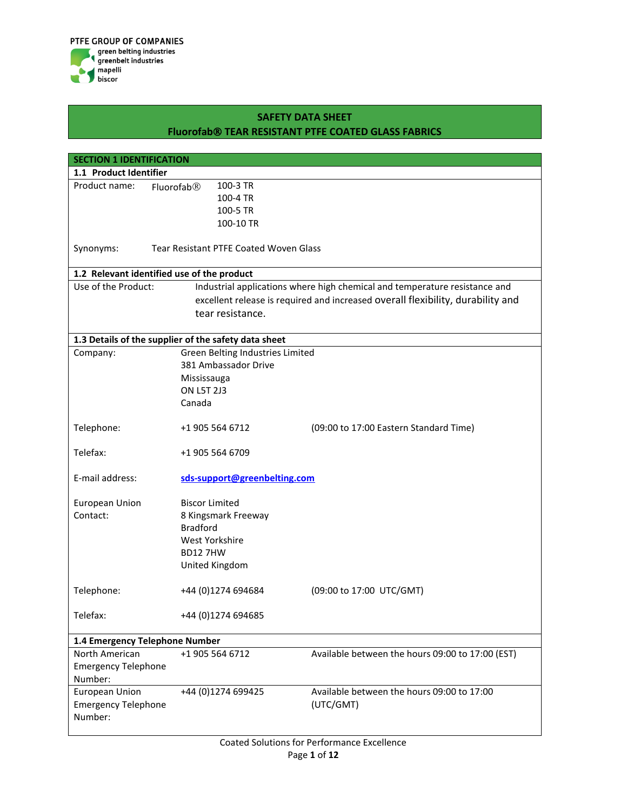

| <b>SECTION 1 IDENTIFICATION</b>                                |                                                                                 |                                                  |  |  |  |
|----------------------------------------------------------------|---------------------------------------------------------------------------------|--------------------------------------------------|--|--|--|
| 1.1 Product Identifier                                         |                                                                                 |                                                  |  |  |  |
| Product name:                                                  | 100-3 TR<br>Fluorofab <sup>®</sup>                                              |                                                  |  |  |  |
|                                                                | 100-4 TR                                                                        |                                                  |  |  |  |
|                                                                | 100-5 TR                                                                        |                                                  |  |  |  |
|                                                                | 100-10 TR                                                                       |                                                  |  |  |  |
| Synonyms:                                                      | <b>Tear Resistant PTFE Coated Woven Glass</b>                                   |                                                  |  |  |  |
|                                                                | 1.2 Relevant identified use of the product                                      |                                                  |  |  |  |
| Use of the Product:                                            | Industrial applications where high chemical and temperature resistance and      |                                                  |  |  |  |
|                                                                | excellent release is required and increased overall flexibility, durability and |                                                  |  |  |  |
|                                                                | tear resistance.                                                                |                                                  |  |  |  |
|                                                                | 1.3 Details of the supplier of the safety data sheet                            |                                                  |  |  |  |
| Company:                                                       | Green Belting Industries Limited                                                |                                                  |  |  |  |
|                                                                | 381 Ambassador Drive                                                            |                                                  |  |  |  |
|                                                                | Mississauga                                                                     |                                                  |  |  |  |
|                                                                | <b>ON L5T 2J3</b>                                                               |                                                  |  |  |  |
|                                                                | Canada                                                                          |                                                  |  |  |  |
| Telephone:                                                     | +1 905 564 6712                                                                 | (09:00 to 17:00 Eastern Standard Time)           |  |  |  |
| Telefax:                                                       | +1 905 564 6709                                                                 |                                                  |  |  |  |
| E-mail address:                                                | sds-support@greenbelting.com                                                    |                                                  |  |  |  |
| <b>European Union</b>                                          | <b>Biscor Limited</b>                                                           |                                                  |  |  |  |
| Contact:                                                       | 8 Kingsmark Freeway                                                             |                                                  |  |  |  |
|                                                                | <b>Bradford</b>                                                                 |                                                  |  |  |  |
|                                                                | West Yorkshire                                                                  |                                                  |  |  |  |
|                                                                | <b>BD12 7HW</b>                                                                 |                                                  |  |  |  |
|                                                                | United Kingdom                                                                  |                                                  |  |  |  |
| Telephone:                                                     | +44 (0)1274 694684<br>(09:00 to 17:00 UTC/GMT)                                  |                                                  |  |  |  |
| Telefax:                                                       | +44 (0)1274 694685                                                              |                                                  |  |  |  |
| 1.4 Emergency Telephone Number                                 |                                                                                 |                                                  |  |  |  |
| North American                                                 | +1 905 564 6712                                                                 | Available between the hours 09:00 to 17:00 (EST) |  |  |  |
| <b>Emergency Telephone</b>                                     |                                                                                 |                                                  |  |  |  |
| Number:                                                        |                                                                                 |                                                  |  |  |  |
| <b>European Union</b><br><b>Emergency Telephone</b><br>Number: | +44 (0)1274 699425<br>(UTC/GMT)                                                 | Available between the hours 09:00 to 17:00       |  |  |  |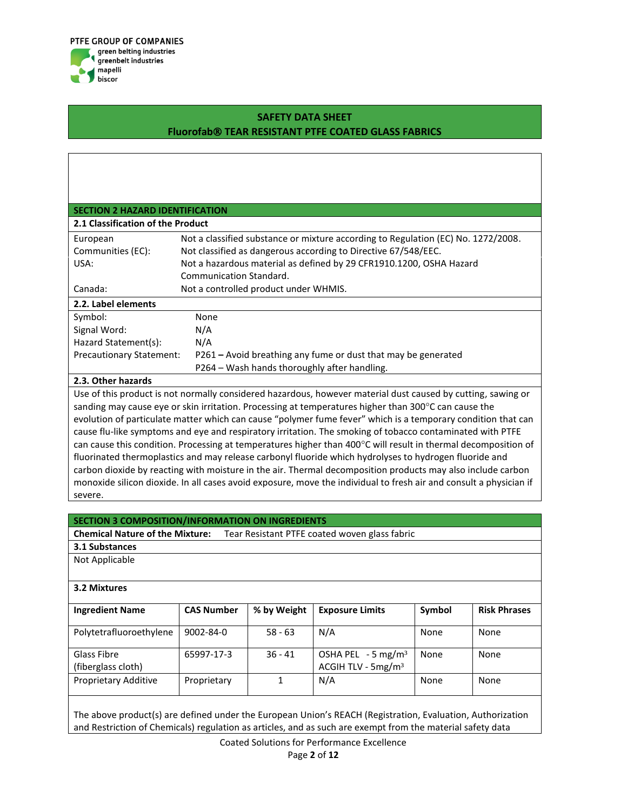

| <b>SECTION 2 HAZARD IDENTIFICATION</b>                                                                       |                                                                                                                                                     |  |  |  |
|--------------------------------------------------------------------------------------------------------------|-----------------------------------------------------------------------------------------------------------------------------------------------------|--|--|--|
| 2.1 Classification of the Product                                                                            |                                                                                                                                                     |  |  |  |
| European<br>Communities (EC):                                                                                | Not a classified substance or mixture according to Regulation (EC) No. 1272/2008.<br>Not classified as dangerous according to Directive 67/548/EEC. |  |  |  |
| USA:                                                                                                         | Not a hazardous material as defined by 29 CFR1910.1200, OSHA Hazard                                                                                 |  |  |  |
|                                                                                                              | Communication Standard.                                                                                                                             |  |  |  |
| Canada:                                                                                                      | Not a controlled product under WHMIS.                                                                                                               |  |  |  |
| 2.2. Label elements                                                                                          |                                                                                                                                                     |  |  |  |
| Symbol:                                                                                                      | None                                                                                                                                                |  |  |  |
| Signal Word:                                                                                                 | N/A                                                                                                                                                 |  |  |  |
| Hazard Statement(s):                                                                                         | N/A                                                                                                                                                 |  |  |  |
| <b>Precautionary Statement:</b>                                                                              | P261 – Avoid breathing any fume or dust that may be generated                                                                                       |  |  |  |
|                                                                                                              | P264 – Wash hands thoroughly after handling.                                                                                                        |  |  |  |
| 2.3. Other hazards                                                                                           |                                                                                                                                                     |  |  |  |
| Use of this product is not normally considered hazardous, however material dust caused by cutting, sawing or |                                                                                                                                                     |  |  |  |

sanding may cause eye or skin irritation. Processing at temperatures higher than 300 $^{\circ}$ C can cause the evolution of particulate matter which can cause "polymer fume fever" which is a temporary condition that can cause flu-like symptoms and eye and respiratory irritation. The smoking of tobacco contaminated with PTFE can cause this condition. Processing at temperatures higher than 400°C will result in thermal decomposition of fluorinated thermoplastics and may release carbonyl fluoride which hydrolyses to hydrogen fluoride and

carbon dioxide by reacting with moisture in the air. Thermal decomposition products may also include carbon monoxide silicon dioxide. In all cases avoid exposure, move the individual to fresh air and consult a physician if severe.

| SECTION 3 COMPOSITION/INFORMATION ON INGREDIENTS |                                                                                         |             |                                                         |        |                     |  |
|--------------------------------------------------|-----------------------------------------------------------------------------------------|-------------|---------------------------------------------------------|--------|---------------------|--|
|                                                  | <b>Chemical Nature of the Mixture:</b><br>Tear Resistant PTFE coated woven glass fabric |             |                                                         |        |                     |  |
| 3.1 Substances                                   |                                                                                         |             |                                                         |        |                     |  |
| Not Applicable                                   |                                                                                         |             |                                                         |        |                     |  |
|                                                  |                                                                                         |             |                                                         |        |                     |  |
| 3.2 Mixtures                                     |                                                                                         |             |                                                         |        |                     |  |
|                                                  |                                                                                         |             |                                                         |        |                     |  |
| <b>Ingredient Name</b>                           | <b>CAS Number</b>                                                                       | % by Weight | <b>Exposure Limits</b>                                  | Symbol | <b>Risk Phrases</b> |  |
| Polytetrafluoroethylene                          | $9002 - 84 - 0$                                                                         | $58 - 63$   | N/A                                                     | None   | None                |  |
| Glass Fibre<br>(fiberglass cloth)                | 65997-17-3                                                                              | $36 - 41$   | OSHA PEL $-5$ mg/m <sup>3</sup><br>ACGIH TLV - $5mg/m3$ | None   | None                |  |
| Proprietary Additive                             | Proprietary                                                                             | 1           | N/A                                                     | None   | None                |  |

The above product(s) are defined under the European Union's REACH (Registration, Evaluation, Authorization and Restriction of Chemicals) regulation as articles, and as such are exempt from the material safety data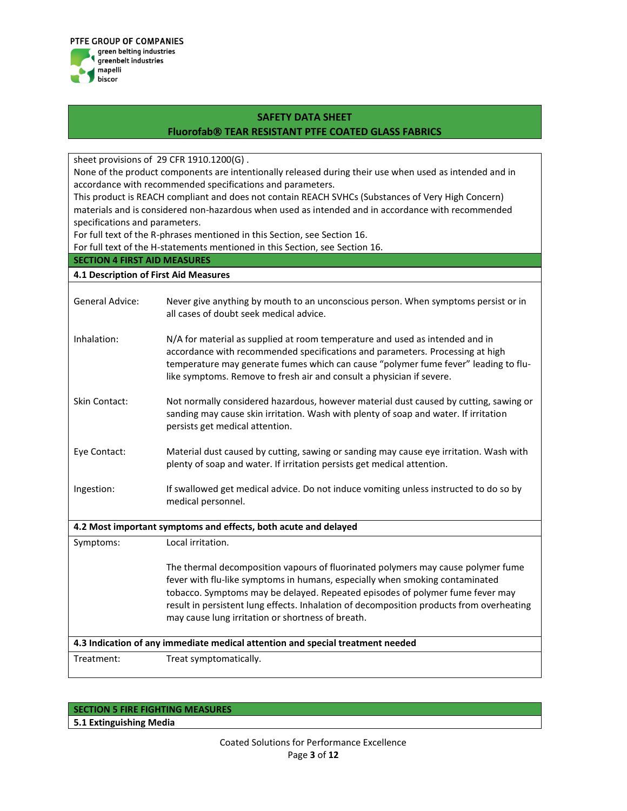

sheet provisions of 29 CFR 1910.1200(G) .

None of the product components are intentionally released during their use when used as intended and in accordance with recommended specifications and parameters.

This product is REACH compliant and does not contain REACH SVHCs (Substances of Very High Concern) materials and is considered non-hazardous when used as intended and in accordance with recommended specifications and parameters.

For full text of the R-phrases mentioned in this Section, see Section 16.

For full text of the H-statements mentioned in this Section, see Section 16.

## **SECTION 4 FIRST AID MEASURES**

| 4.1 Description of First Aid Measures |                                                                                                                                                                                                                                                                                                                                                                                                    |
|---------------------------------------|----------------------------------------------------------------------------------------------------------------------------------------------------------------------------------------------------------------------------------------------------------------------------------------------------------------------------------------------------------------------------------------------------|
| <b>General Advice:</b>                | Never give anything by mouth to an unconscious person. When symptoms persist or in<br>all cases of doubt seek medical advice.                                                                                                                                                                                                                                                                      |
| Inhalation:                           | N/A for material as supplied at room temperature and used as intended and in<br>accordance with recommended specifications and parameters. Processing at high<br>temperature may generate fumes which can cause "polymer fume fever" leading to flu-<br>like symptoms. Remove to fresh air and consult a physician if severe.                                                                      |
| Skin Contact:                         | Not normally considered hazardous, however material dust caused by cutting, sawing or<br>sanding may cause skin irritation. Wash with plenty of soap and water. If irritation<br>persists get medical attention.                                                                                                                                                                                   |
| Eye Contact:                          | Material dust caused by cutting, sawing or sanding may cause eye irritation. Wash with<br>plenty of soap and water. If irritation persists get medical attention.                                                                                                                                                                                                                                  |
| Ingestion:                            | If swallowed get medical advice. Do not induce vomiting unless instructed to do so by<br>medical personnel.                                                                                                                                                                                                                                                                                        |
|                                       | 4.2 Most important symptoms and effects, both acute and delayed                                                                                                                                                                                                                                                                                                                                    |
| Symptoms:                             | Local irritation.                                                                                                                                                                                                                                                                                                                                                                                  |
|                                       | The thermal decomposition vapours of fluorinated polymers may cause polymer fume<br>fever with flu-like symptoms in humans, especially when smoking contaminated<br>tobacco. Symptoms may be delayed. Repeated episodes of polymer fume fever may<br>result in persistent lung effects. Inhalation of decomposition products from overheating<br>may cause lung irritation or shortness of breath. |
|                                       | 4.3 Indication of any immediate medical attention and special treatment needed                                                                                                                                                                                                                                                                                                                     |
| Treatment:                            | Treat symptomatically.                                                                                                                                                                                                                                                                                                                                                                             |

## **SECTION 5 FIRE FIGHTING MEASURES**

**5.1 Extinguishing Media**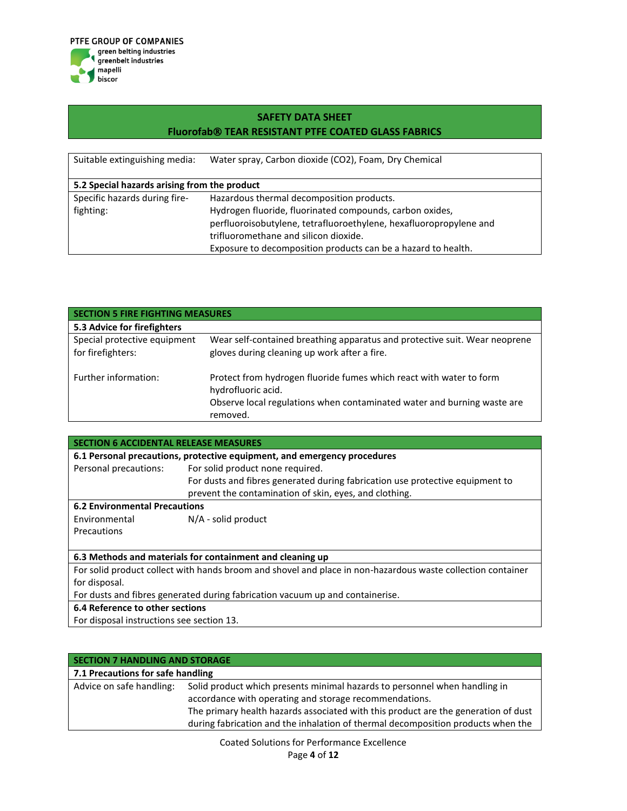

| Suitable extinguishing media:                | Water spray, Carbon dioxide (CO2), Foam, Dry Chemical              |  |  |  |
|----------------------------------------------|--------------------------------------------------------------------|--|--|--|
| 5.2 Special hazards arising from the product |                                                                    |  |  |  |
| Specific hazards during fire-                | Hazardous thermal decomposition products.                          |  |  |  |
| fighting:                                    | Hydrogen fluoride, fluorinated compounds, carbon oxides,           |  |  |  |
|                                              | perfluoroisobutylene, tetrafluoroethylene, hexafluoropropylene and |  |  |  |
|                                              | trifluoromethane and silicon dioxide.                              |  |  |  |
|                                              | Exposure to decomposition products can be a hazard to health.      |  |  |  |

| <b>SECTION 5 FIRE FIGHTING MEASURES</b>           |                                                                                                                                                                                  |  |  |  |
|---------------------------------------------------|----------------------------------------------------------------------------------------------------------------------------------------------------------------------------------|--|--|--|
| 5.3 Advice for firefighters                       |                                                                                                                                                                                  |  |  |  |
| Special protective equipment<br>for firefighters: | Wear self-contained breathing apparatus and protective suit. Wear neoprene<br>gloves during cleaning up work after a fire.                                                       |  |  |  |
| Further information:                              | Protect from hydrogen fluoride fumes which react with water to form<br>hydrofluoric acid.<br>Observe local regulations when contaminated water and burning waste are<br>removed. |  |  |  |

| <b>SECTION 6 ACCIDENTAL RELEASE MEASURES</b>                                  |                                                                                                             |  |  |  |
|-------------------------------------------------------------------------------|-------------------------------------------------------------------------------------------------------------|--|--|--|
| 6.1 Personal precautions, protective equipment, and emergency procedures      |                                                                                                             |  |  |  |
| Personal precautions:                                                         | For solid product none required.                                                                            |  |  |  |
|                                                                               | For dusts and fibres generated during fabrication use protective equipment to                               |  |  |  |
|                                                                               | prevent the contamination of skin, eyes, and clothing.                                                      |  |  |  |
| <b>6.2 Environmental Precautions</b>                                          |                                                                                                             |  |  |  |
| Environmental                                                                 | $N/A$ - solid product                                                                                       |  |  |  |
| Precautions                                                                   |                                                                                                             |  |  |  |
|                                                                               |                                                                                                             |  |  |  |
| 6.3 Methods and materials for containment and cleaning up                     |                                                                                                             |  |  |  |
|                                                                               | For solid product collect with hands broom and shovel and place in non-hazardous waste collection container |  |  |  |
| for disposal.                                                                 |                                                                                                             |  |  |  |
| For dusts and fibres generated during fabrication vacuum up and containerise. |                                                                                                             |  |  |  |
| 6.4 Reference to other sections                                               |                                                                                                             |  |  |  |
| For disposal instructions see section 13.                                     |                                                                                                             |  |  |  |

| SECTION 7 HANDLING AND STORAGE    |                                                                                                                                                                                                                                                                                                                |  |  |
|-----------------------------------|----------------------------------------------------------------------------------------------------------------------------------------------------------------------------------------------------------------------------------------------------------------------------------------------------------------|--|--|
| 7.1 Precautions for safe handling |                                                                                                                                                                                                                                                                                                                |  |  |
| Advice on safe handling:          | Solid product which presents minimal hazards to personnel when handling in<br>accordance with operating and storage recommendations.<br>The primary health hazards associated with this product are the generation of dust<br>during fabrication and the inhalation of thermal decomposition products when the |  |  |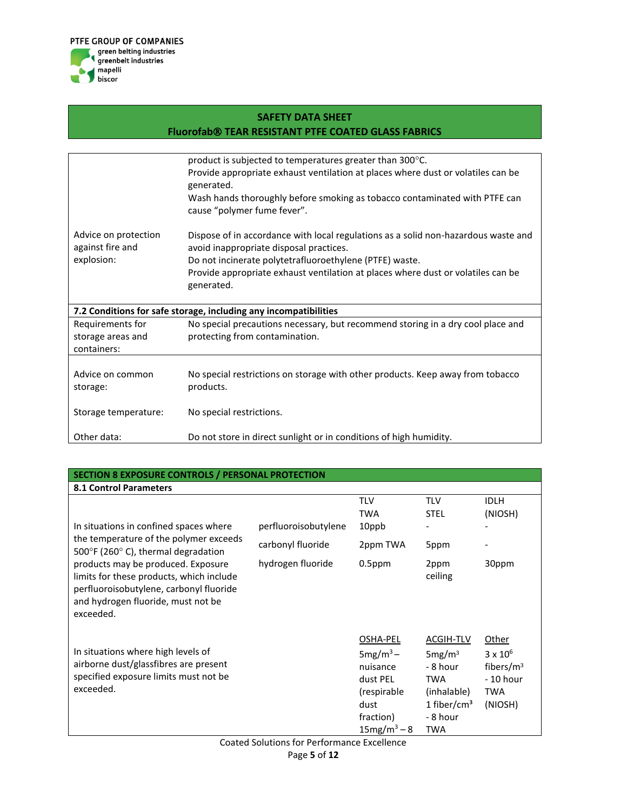

|                                          | product is subjected to temperatures greater than 300°C.                                                                      |
|------------------------------------------|-------------------------------------------------------------------------------------------------------------------------------|
|                                          | Provide appropriate exhaust ventilation at places where dust or volatiles can be<br>generated.                                |
|                                          | Wash hands thoroughly before smoking as tobacco contaminated with PTFE can<br>cause "polymer fume fever".                     |
| Advice on protection<br>against fire and | Dispose of in accordance with local regulations as a solid non-hazardous waste and<br>avoid inappropriate disposal practices. |
| explosion:                               | Do not incinerate polytetrafluoroethylene (PTFE) waste.                                                                       |
|                                          | Provide appropriate exhaust ventilation at places where dust or volatiles can be                                              |
|                                          | generated.                                                                                                                    |
|                                          |                                                                                                                               |
|                                          | 7.2 Conditions for safe storage, including any incompatibilities                                                              |
| Requirements for                         | No special precautions necessary, but recommend storing in a dry cool place and                                               |
| storage areas and                        | protecting from contamination.                                                                                                |
| containers:                              |                                                                                                                               |
|                                          |                                                                                                                               |
| Advice on common                         | No special restrictions on storage with other products. Keep away from tobacco                                                |
| storage:                                 | products.                                                                                                                     |
|                                          |                                                                                                                               |
| Storage temperature:                     | No special restrictions.                                                                                                      |
|                                          |                                                                                                                               |
| Other data:                              | Do not store in direct sunlight or in conditions of high humidity.                                                            |

| SECTION 8 EXPOSURE CONTROLS / PERSONAL PROTECTION                                                                                                                            |                      |                                                                                                       |                                                                                                                               |                                                                          |
|------------------------------------------------------------------------------------------------------------------------------------------------------------------------------|----------------------|-------------------------------------------------------------------------------------------------------|-------------------------------------------------------------------------------------------------------------------------------|--------------------------------------------------------------------------|
| <b>8.1 Control Parameters</b>                                                                                                                                                |                      |                                                                                                       |                                                                                                                               |                                                                          |
|                                                                                                                                                                              |                      | <b>TLV</b><br><b>TWA</b>                                                                              | <b>TLV</b><br><b>STEL</b>                                                                                                     | <b>IDLH</b><br>(NIOSH)                                                   |
| In situations in confined spaces where                                                                                                                                       | perfluoroisobutylene | 10ppb                                                                                                 |                                                                                                                               |                                                                          |
| the temperature of the polymer exceeds<br>500 $\degree$ F (260 $\degree$ C), thermal degradation                                                                             | carbonyl fluoride    | 2ppm TWA                                                                                              | 5ppm                                                                                                                          |                                                                          |
| products may be produced. Exposure<br>limits for these products, which include<br>perfluoroisobutylene, carbonyl fluoride<br>and hydrogen fluoride, must not be<br>exceeded. | hydrogen fluoride    | $0.5$ ppm                                                                                             | 2ppm<br>ceiling                                                                                                               | 30ppm                                                                    |
| In situations where high levels of<br>airborne dust/glassfibres are present<br>specified exposure limits must not be<br>exceeded.                                            |                      | OSHA-PEL<br>$5mg/m3$ –<br>nuisance<br>dust PEL<br>(respirable)<br>dust<br>fraction)<br>$15mg/m^3 - 8$ | ACGIH-TLV<br>5mg/m <sup>3</sup><br>- 8 hour<br><b>TWA</b><br>(inhalable)<br>1 fiber/cm <sup>3</sup><br>- 8 hour<br><b>TWA</b> | Other<br>$3 \times 10^6$<br>fibers/ $m3$<br>$-10$ hour<br>TWA<br>(NIOSH) |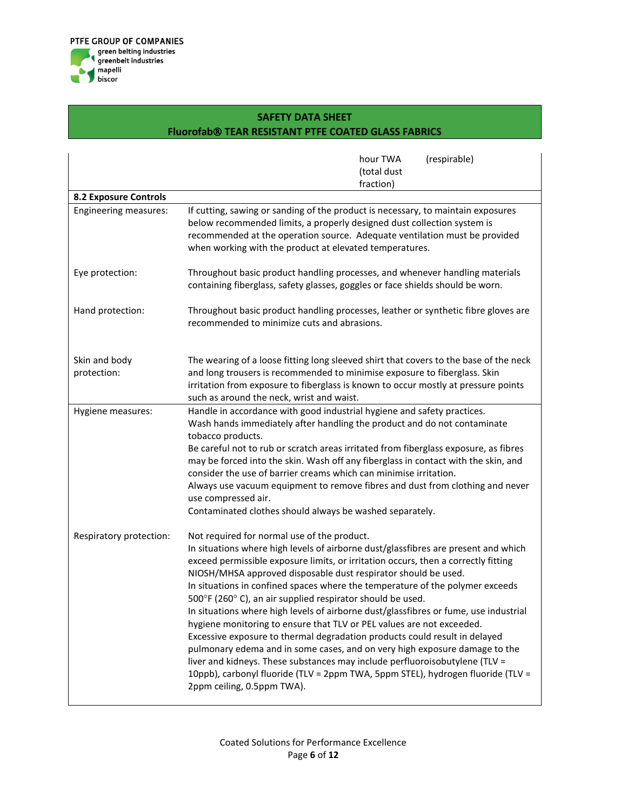

|                              | hour TWA<br>(respirable)<br>(total dust<br>fraction)                                                                                                                                                                                                                                                                                                                                                                                                                                                                                                                                                                                                                                                                                                                                                                                                                                                                                                                 |
|------------------------------|----------------------------------------------------------------------------------------------------------------------------------------------------------------------------------------------------------------------------------------------------------------------------------------------------------------------------------------------------------------------------------------------------------------------------------------------------------------------------------------------------------------------------------------------------------------------------------------------------------------------------------------------------------------------------------------------------------------------------------------------------------------------------------------------------------------------------------------------------------------------------------------------------------------------------------------------------------------------|
| <b>8.2 Exposure Controls</b> |                                                                                                                                                                                                                                                                                                                                                                                                                                                                                                                                                                                                                                                                                                                                                                                                                                                                                                                                                                      |
| Engineering measures:        | If cutting, sawing or sanding of the product is necessary, to maintain exposures<br>below recommended limits, a properly designed dust collection system is<br>recommended at the operation source. Adequate ventilation must be provided<br>when working with the product at elevated temperatures.                                                                                                                                                                                                                                                                                                                                                                                                                                                                                                                                                                                                                                                                 |
| Eye protection:              | Throughout basic product handling processes, and whenever handling materials<br>containing fiberglass, safety glasses, goggles or face shields should be worn.                                                                                                                                                                                                                                                                                                                                                                                                                                                                                                                                                                                                                                                                                                                                                                                                       |
| Hand protection:             | Throughout basic product handling processes, leather or synthetic fibre gloves are<br>recommended to minimize cuts and abrasions.                                                                                                                                                                                                                                                                                                                                                                                                                                                                                                                                                                                                                                                                                                                                                                                                                                    |
| Skin and body                | The wearing of a loose fitting long sleeved shirt that covers to the base of the neck                                                                                                                                                                                                                                                                                                                                                                                                                                                                                                                                                                                                                                                                                                                                                                                                                                                                                |
| protection:                  | and long trousers is recommended to minimise exposure to fiberglass. Skin<br>irritation from exposure to fiberglass is known to occur mostly at pressure points<br>such as around the neck, wrist and waist.                                                                                                                                                                                                                                                                                                                                                                                                                                                                                                                                                                                                                                                                                                                                                         |
| Hygiene measures:            | Handle in accordance with good industrial hygiene and safety practices.<br>Wash hands immediately after handling the product and do not contaminate<br>tobacco products.<br>Be careful not to rub or scratch areas irritated from fiberglass exposure, as fibres<br>may be forced into the skin. Wash off any fiberglass in contact with the skin, and<br>consider the use of barrier creams which can minimise irritation.<br>Always use vacuum equipment to remove fibres and dust from clothing and never<br>use compressed air.<br>Contaminated clothes should always be washed separately.                                                                                                                                                                                                                                                                                                                                                                      |
| Respiratory protection:      | Not required for normal use of the product.<br>In situations where high levels of airborne dust/glassfibres are present and which<br>exceed permissible exposure limits, or irritation occurs, then a correctly fitting<br>NIOSH/MHSA approved disposable dust respirator should be used.<br>In situations in confined spaces where the temperature of the polymer exceeds<br>500°F (260°C), an air supplied respirator should be used.<br>In situations where high levels of airborne dust/glassfibres or fume, use industrial<br>hygiene monitoring to ensure that TLV or PEL values are not exceeded.<br>Excessive exposure to thermal degradation products could result in delayed<br>pulmonary edema and in some cases, and on very high exposure damage to the<br>liver and kidneys. These substances may include perfluoroisobutylene (TLV =<br>10ppb), carbonyl fluoride (TLV = 2ppm TWA, 5ppm STEL), hydrogen fluoride (TLV =<br>2ppm ceiling, 0.5ppm TWA). |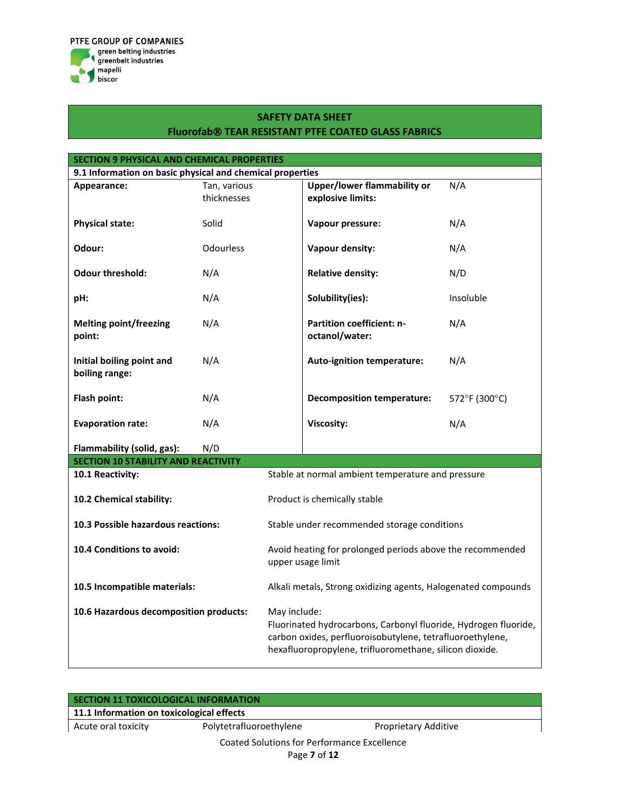

| SECTION 9 PHYSICAL AND CHEMICAL PROPERTIES                |                             |                                                                                                                                                                                                         |                                                         |               |  |  |
|-----------------------------------------------------------|-----------------------------|---------------------------------------------------------------------------------------------------------------------------------------------------------------------------------------------------------|---------------------------------------------------------|---------------|--|--|
| 9.1 Information on basic physical and chemical properties |                             |                                                                                                                                                                                                         |                                                         |               |  |  |
| Appearance:                                               | Tan, various<br>thicknesses |                                                                                                                                                                                                         | <b>Upper/lower flammability or</b><br>explosive limits: | N/A           |  |  |
| <b>Physical state:</b>                                    | Solid                       |                                                                                                                                                                                                         | Vapour pressure:                                        | N/A           |  |  |
| Odour:                                                    | <b>Odourless</b>            |                                                                                                                                                                                                         | <b>Vapour density:</b>                                  | N/A           |  |  |
| <b>Odour threshold:</b>                                   | N/A                         |                                                                                                                                                                                                         | <b>Relative density:</b>                                | N/D           |  |  |
| pH:                                                       | N/A                         |                                                                                                                                                                                                         | Solubility(ies):                                        | Insoluble     |  |  |
| <b>Melting point/freezing</b><br>point:                   | N/A                         |                                                                                                                                                                                                         | <b>Partition coefficient: n-</b><br>octanol/water:      | N/A           |  |  |
| Initial boiling point and<br>boiling range:               | N/A                         |                                                                                                                                                                                                         | Auto-ignition temperature:                              | N/A           |  |  |
| Flash point:                                              | N/A                         |                                                                                                                                                                                                         | <b>Decomposition temperature:</b>                       | 572°F (300°C) |  |  |
| <b>Evaporation rate:</b>                                  | N/A                         |                                                                                                                                                                                                         | Viscosity:                                              | N/A           |  |  |
| Flammability (solid, gas):<br>N/D                         |                             |                                                                                                                                                                                                         |                                                         |               |  |  |
| <b>SECTION 10 STABILITY AND REACTIVITY</b>                |                             |                                                                                                                                                                                                         |                                                         |               |  |  |
| 10.1 Reactivity:                                          |                             |                                                                                                                                                                                                         | Stable at normal ambient temperature and pressure       |               |  |  |
| 10.2 Chemical stability:                                  |                             | Product is chemically stable                                                                                                                                                                            |                                                         |               |  |  |
| 10.3 Possible hazardous reactions:                        |                             |                                                                                                                                                                                                         | Stable under recommended storage conditions             |               |  |  |
| 10.4 Conditions to avoid:                                 |                             | Avoid heating for prolonged periods above the recommended<br>upper usage limit                                                                                                                          |                                                         |               |  |  |
| 10.5 Incompatible materials:                              |                             | Alkali metals, Strong oxidizing agents, Halogenated compounds                                                                                                                                           |                                                         |               |  |  |
| 10.6 Hazardous decomposition products:                    |                             | May include:<br>Fluorinated hydrocarbons, Carbonyl fluoride, Hydrogen fluoride,<br>carbon oxides, perfluoroisobutylene, tetrafluoroethylene,<br>hexafluoropropylene, trifluoromethane, silicon dioxide. |                                                         |               |  |  |

| SECTION 11 TOXICOLOGICAL INFORMATION      |                                                             |                             |  |
|-------------------------------------------|-------------------------------------------------------------|-----------------------------|--|
| 11.1 Information on toxicological effects |                                                             |                             |  |
| Acute oral toxicity                       | Polytetrafluoroethylene                                     | <b>Proprietary Additive</b> |  |
|                                           | Coated Solutions for Performance Excellence<br>Page 7 of 12 |                             |  |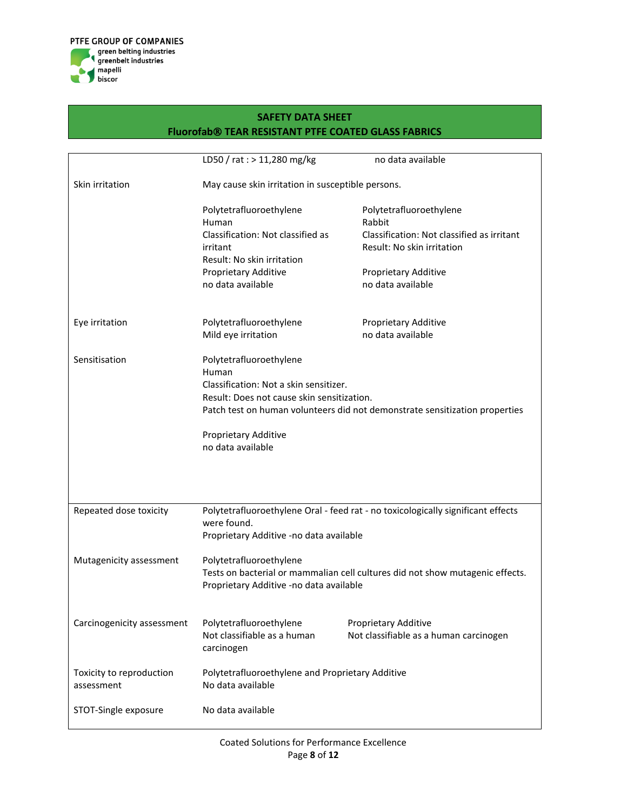

|                            | LD50 / rat : > 11,280 mg/kg                            | no data available                                                                |
|----------------------------|--------------------------------------------------------|----------------------------------------------------------------------------------|
| Skin irritation            | May cause skin irritation in susceptible persons.      |                                                                                  |
|                            | Polytetrafluoroethylene                                | Polytetrafluoroethylene                                                          |
|                            | Human                                                  | Rabbit                                                                           |
|                            | Classification: Not classified as                      | Classification: Not classified as irritant                                       |
|                            | irritant                                               | Result: No skin irritation                                                       |
|                            | Result: No skin irritation                             |                                                                                  |
|                            | Proprietary Additive                                   | <b>Proprietary Additive</b>                                                      |
|                            | no data available                                      | no data available                                                                |
| Eye irritation             | Polytetrafluoroethylene                                | Proprietary Additive                                                             |
|                            | Mild eye irritation                                    | no data available                                                                |
|                            |                                                        |                                                                                  |
| Sensitisation              | Polytetrafluoroethylene                                |                                                                                  |
|                            | Human                                                  |                                                                                  |
|                            | Classification: Not a skin sensitizer.                 |                                                                                  |
|                            | Result: Does not cause skin sensitization.             |                                                                                  |
|                            |                                                        | Patch test on human volunteers did not demonstrate sensitization properties      |
|                            | Proprietary Additive                                   |                                                                                  |
|                            | no data available                                      |                                                                                  |
|                            |                                                        |                                                                                  |
|                            |                                                        |                                                                                  |
|                            |                                                        |                                                                                  |
|                            |                                                        | Polytetrafluoroethylene Oral - feed rat - no toxicologically significant effects |
| Repeated dose toxicity     | were found.                                            |                                                                                  |
|                            | Proprietary Additive -no data available                |                                                                                  |
|                            |                                                        |                                                                                  |
| Mutagenicity assessment    | Polytetrafluoroethylene                                |                                                                                  |
|                            |                                                        | Tests on bacterial or mammalian cell cultures did not show mutagenic effects.    |
|                            | Proprietary Additive -no data available                |                                                                                  |
|                            |                                                        |                                                                                  |
|                            |                                                        |                                                                                  |
| Carcinogenicity assessment | Polytetrafluoroethylene<br>Not classifiable as a human | Proprietary Additive<br>Not classifiable as a human carcinogen                   |
|                            | carcinogen                                             |                                                                                  |
|                            |                                                        |                                                                                  |
| Toxicity to reproduction   | Polytetrafluoroethylene and Proprietary Additive       |                                                                                  |
| assessment                 | No data available                                      |                                                                                  |
|                            |                                                        |                                                                                  |
| STOT-Single exposure       | No data available                                      |                                                                                  |
|                            |                                                        |                                                                                  |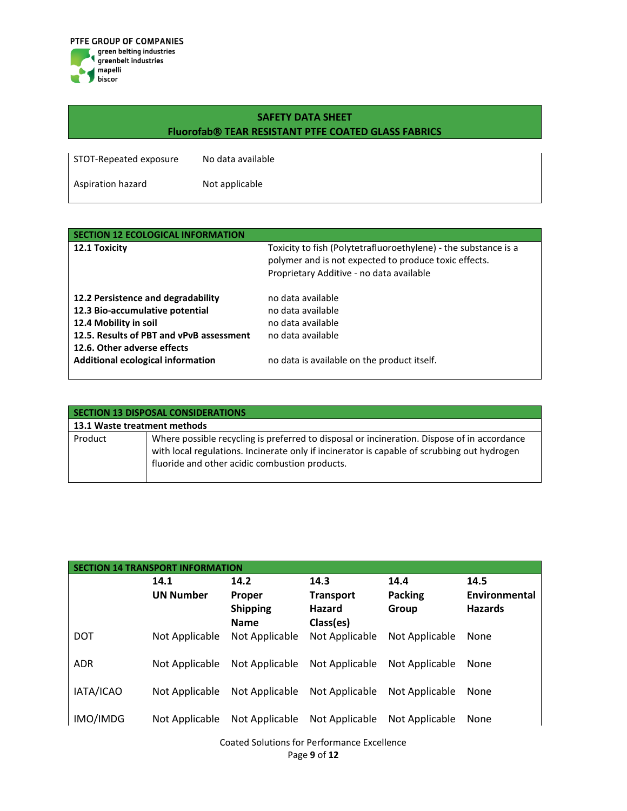

| STOT-Repeated exposure | No data available |
|------------------------|-------------------|
| Aspiration hazard      | Not applicable    |

| <b>SECTION 12 ECOLOGICAL INFORMATION</b>                                                                                                                                                                              |                                                                                                                                                                      |
|-----------------------------------------------------------------------------------------------------------------------------------------------------------------------------------------------------------------------|----------------------------------------------------------------------------------------------------------------------------------------------------------------------|
| 12.1 Toxicity                                                                                                                                                                                                         | Toxicity to fish (Polytetrafluoroethylene) - the substance is a<br>polymer and is not expected to produce toxic effects.<br>Proprietary Additive - no data available |
| 12.2 Persistence and degradability<br>12.3 Bio-accumulative potential<br>12.4 Mobility in soil<br>12.5. Results of PBT and vPvB assessment<br>12.6. Other adverse effects<br><b>Additional ecological information</b> | no data available<br>no data available<br>no data available<br>no data available<br>no data is available on the product itself.                                      |
|                                                                                                                                                                                                                       |                                                                                                                                                                      |

| <b>SECTION 13 DISPOSAL CONSIDERATIONS</b> |                                                                                                                                                                                                                                              |  |  |
|-------------------------------------------|----------------------------------------------------------------------------------------------------------------------------------------------------------------------------------------------------------------------------------------------|--|--|
| 13.1 Waste treatment methods              |                                                                                                                                                                                                                                              |  |  |
| Product                                   | Where possible recycling is preferred to disposal or incineration. Dispose of in accordance<br>with local regulations. Incinerate only if incinerator is capable of scrubbing out hydrogen<br>fluoride and other acidic combustion products. |  |  |

| <b>SECTION 14 TRANSPORT INFORMATION</b> |                  |                 |                  |                |                |
|-----------------------------------------|------------------|-----------------|------------------|----------------|----------------|
|                                         | 14.1             | 14.2            | 14.3             | 14.4           | 14.5           |
|                                         | <b>UN Number</b> | Proper          | <b>Transport</b> | <b>Packing</b> | Environmental  |
|                                         |                  | <b>Shipping</b> | Hazard           | Group          | <b>Hazards</b> |
|                                         |                  | <b>Name</b>     | Class(es)        |                |                |
| <b>DOT</b>                              | Not Applicable   | Not Applicable  | Not Applicable   | Not Applicable | None           |
|                                         |                  |                 |                  |                |                |
| <b>ADR</b>                              | Not Applicable   | Not Applicable  | Not Applicable   | Not Applicable | None           |
|                                         |                  |                 |                  |                |                |
| IATA/ICAO                               | Not Applicable   | Not Applicable  | Not Applicable   | Not Applicable | None           |
|                                         |                  |                 |                  |                |                |
| IMO/IMDG                                | Not Applicable   | Not Applicable  | Not Applicable   | Not Applicable | <b>None</b>    |
|                                         |                  |                 |                  |                |                |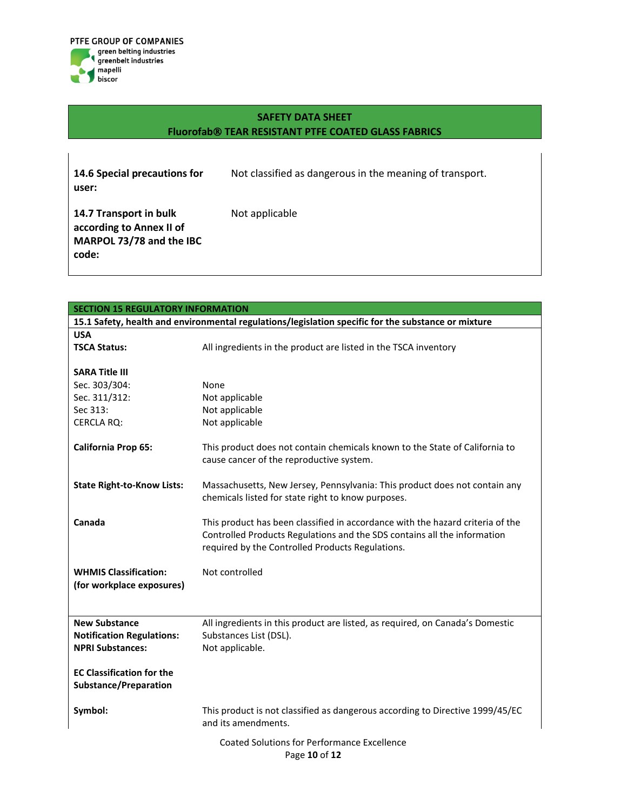

Not applicable

**14.6 Special precautions for user:**

Not classified as dangerous in the meaning of transport.

**14.7 Transport in bulk according to Annex II of MARPOL 73/78 and the IBC code:**

| <b>SECTION 15 REGULATORY INFORMATION</b>                                                            |                                                                                                                                                                                                                |  |  |  |
|-----------------------------------------------------------------------------------------------------|----------------------------------------------------------------------------------------------------------------------------------------------------------------------------------------------------------------|--|--|--|
| 15.1 Safety, health and environmental regulations/legislation specific for the substance or mixture |                                                                                                                                                                                                                |  |  |  |
| <b>USA</b>                                                                                          |                                                                                                                                                                                                                |  |  |  |
| <b>TSCA Status:</b>                                                                                 | All ingredients in the product are listed in the TSCA inventory                                                                                                                                                |  |  |  |
|                                                                                                     |                                                                                                                                                                                                                |  |  |  |
| <b>SARA Title III</b>                                                                               |                                                                                                                                                                                                                |  |  |  |
| Sec. 303/304:                                                                                       | None                                                                                                                                                                                                           |  |  |  |
| Sec. 311/312:                                                                                       | Not applicable                                                                                                                                                                                                 |  |  |  |
| Sec 313:                                                                                            | Not applicable                                                                                                                                                                                                 |  |  |  |
| <b>CERCLA RQ:</b>                                                                                   | Not applicable                                                                                                                                                                                                 |  |  |  |
| <b>California Prop 65:</b>                                                                          | This product does not contain chemicals known to the State of California to<br>cause cancer of the reproductive system.                                                                                        |  |  |  |
| <b>State Right-to-Know Lists:</b>                                                                   | Massachusetts, New Jersey, Pennsylvania: This product does not contain any<br>chemicals listed for state right to know purposes.                                                                               |  |  |  |
| Canada                                                                                              | This product has been classified in accordance with the hazard criteria of the<br>Controlled Products Regulations and the SDS contains all the information<br>required by the Controlled Products Regulations. |  |  |  |
| <b>WHMIS Classification:</b><br>(for workplace exposures)                                           | Not controlled                                                                                                                                                                                                 |  |  |  |
| <b>New Substance</b><br><b>Notification Regulations:</b><br><b>NPRI Substances:</b>                 | All ingredients in this product are listed, as required, on Canada's Domestic<br>Substances List (DSL).<br>Not applicable.                                                                                     |  |  |  |
| <b>EC Classification for the</b><br><b>Substance/Preparation</b>                                    |                                                                                                                                                                                                                |  |  |  |
| Symbol:                                                                                             | This product is not classified as dangerous according to Directive 1999/45/EC<br>and its amendments.                                                                                                           |  |  |  |
|                                                                                                     | <b>Coated Solutions for Performance Excellence</b><br>Page 10 of 12                                                                                                                                            |  |  |  |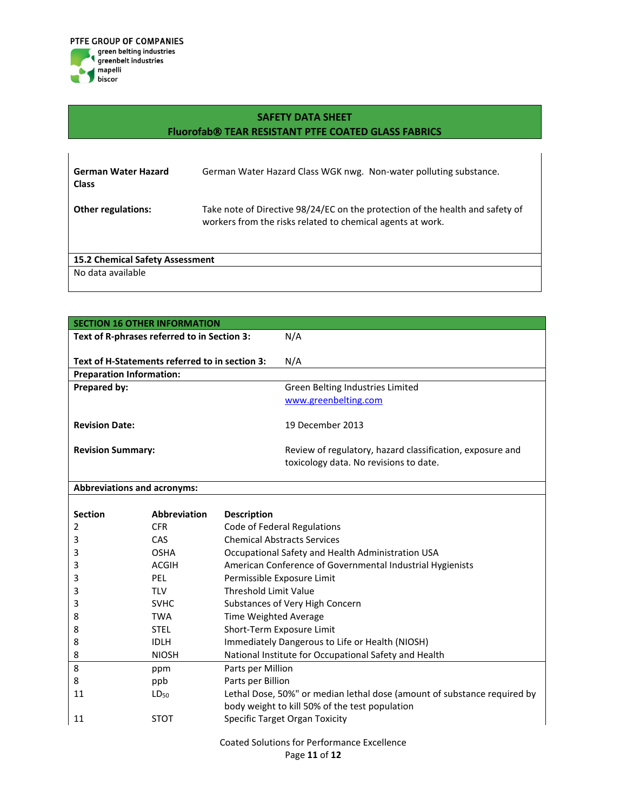

| <b>German Water Hazard</b><br><b>Class</b>                  | German Water Hazard Class WGK nwg. Non-water polluting substance.                                                                           |
|-------------------------------------------------------------|---------------------------------------------------------------------------------------------------------------------------------------------|
| <b>Other regulations:</b>                                   | Take note of Directive 98/24/EC on the protection of the health and safety of<br>workers from the risks related to chemical agents at work. |
| <b>15.2 Chemical Safety Assessment</b><br>No data available |                                                                                                                                             |

| <b>SECTION 16 OTHER INFORMATION</b>            |                     |                                                                                                                            |                                                                                                     |
|------------------------------------------------|---------------------|----------------------------------------------------------------------------------------------------------------------------|-----------------------------------------------------------------------------------------------------|
| Text of R-phrases referred to in Section 3:    |                     |                                                                                                                            | N/A                                                                                                 |
|                                                |                     |                                                                                                                            |                                                                                                     |
| Text of H-Statements referred to in section 3: |                     |                                                                                                                            | N/A                                                                                                 |
| <b>Preparation Information:</b>                |                     |                                                                                                                            |                                                                                                     |
| Prepared by:                                   |                     |                                                                                                                            | Green Belting Industries Limited                                                                    |
|                                                |                     |                                                                                                                            | www.greenbelting.com                                                                                |
| <b>Revision Date:</b>                          |                     |                                                                                                                            | 19 December 2013                                                                                    |
| <b>Revision Summary:</b>                       |                     |                                                                                                                            | Review of regulatory, hazard classification, exposure and<br>toxicology data. No revisions to date. |
| <b>Abbreviations and acronyms:</b>             |                     |                                                                                                                            |                                                                                                     |
|                                                |                     |                                                                                                                            |                                                                                                     |
| <b>Section</b>                                 | <b>Abbreviation</b> | <b>Description</b>                                                                                                         |                                                                                                     |
| $\overline{2}$                                 | <b>CFR</b>          |                                                                                                                            | Code of Federal Regulations                                                                         |
| 3                                              | CAS                 | <b>Chemical Abstracts Services</b>                                                                                         |                                                                                                     |
| 3                                              | <b>OSHA</b>         | Occupational Safety and Health Administration USA                                                                          |                                                                                                     |
| 3                                              | <b>ACGIH</b>        | American Conference of Governmental Industrial Hygienists                                                                  |                                                                                                     |
| 3                                              | <b>PEL</b>          | Permissible Exposure Limit                                                                                                 |                                                                                                     |
| 3                                              | <b>TLV</b>          | <b>Threshold Limit Value</b>                                                                                               |                                                                                                     |
| 3                                              | <b>SVHC</b>         | Substances of Very High Concern                                                                                            |                                                                                                     |
| 8                                              | <b>TWA</b>          | Time Weighted Average                                                                                                      |                                                                                                     |
| 8                                              | <b>STEL</b>         | Short-Term Exposure Limit                                                                                                  |                                                                                                     |
| 8                                              | <b>IDLH</b>         | Immediately Dangerous to Life or Health (NIOSH)                                                                            |                                                                                                     |
| 8                                              | <b>NIOSH</b>        | National Institute for Occupational Safety and Health                                                                      |                                                                                                     |
| 8                                              | ppm                 | Parts per Million                                                                                                          |                                                                                                     |
| 8                                              | ppb                 | Parts per Billion                                                                                                          |                                                                                                     |
| 11                                             | LD <sub>50</sub>    | Lethal Dose, 50%" or median lethal dose (amount of substance required by<br>body weight to kill 50% of the test population |                                                                                                     |
| 11                                             | <b>STOT</b>         | Specific Target Organ Toxicity                                                                                             |                                                                                                     |